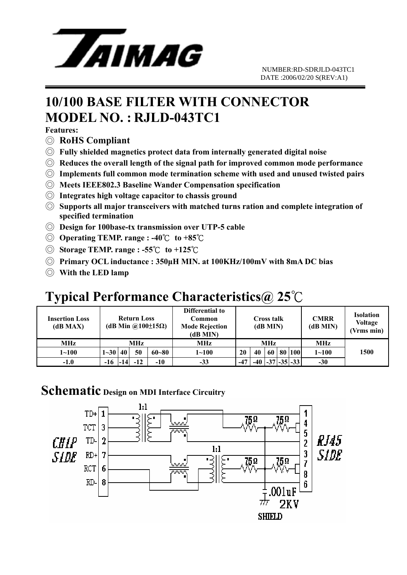

# **10/100 BASE FILTER WITH CONNECTOR MODEL NO. : RJLD-043TC1**

**Features:** 

- ◎ **RoHS Compliant**
- ◎ **Fully shielded magnetics protect data from internally generated digital noise**
- ◎ **Reduces the overall length of the signal path for improved common mode performance**
- ◎ **Implements full common mode termination scheme with used and unused twisted pairs**
- ◎ **Meets IEEE802.3 Baseline Wander Compensation specification**
- ◎ **Integrates high voltage capacitor to chassis ground**
- ◎ **Supports all major transceivers with matched turns ration and complete integration of specified termination**
- ◎ **Design for 100base-tx transmission over UTP-5 cable**
- ◎ **Operating TEMP. range : -40**℃ **to +85**℃
- ◎ **Storage TEMP. range : -55**℃ **to +125**℃
- ◎ **Primary OCL inductance : 350µH MIN. at 100KHz/100mV with 8mA DC bias**
- ◎ **With the LED lamp**

## **Typical Performance Characteristics@ 25**℃

| Insertion Loss<br>(dB MAX) | <b>Return Loss</b><br>(dB Min $\omega(100\pm15\Omega)$ |       |       |           | Differential to<br>Common<br><b>Mode Rejection</b><br>(dB MIN) | <b>Cross talk</b><br>(dB MIN) |     |    |  | <b>CMRR</b><br>(dB MIN) | <b>Isolation</b><br><b>Voltage</b><br>(Vrms min) |      |
|----------------------------|--------------------------------------------------------|-------|-------|-----------|----------------------------------------------------------------|-------------------------------|-----|----|--|-------------------------|--------------------------------------------------|------|
| <b>MHz</b>                 | MHz                                                    |       |       |           | MHz                                                            | <b>MHz</b>                    |     |    |  |                         | <b>MHz</b>                                       |      |
| $1 \!\!\sim\!\! 100$       | $1 - 30$ 40                                            |       | 50    | $60 - 80$ | $1 - 100$                                                      | 20                            | 40  | 60 |  | 80 100                  | $1 - 100$                                        | 1500 |
| $-1.0$                     | -16                                                    | $-14$ | $-12$ | $-10$     | $-33$                                                          | $-47$                         | -40 |    |  | $-35 - 33$              | $-30$                                            |      |

### **Schematic Design on MDI Interface Circuitry**

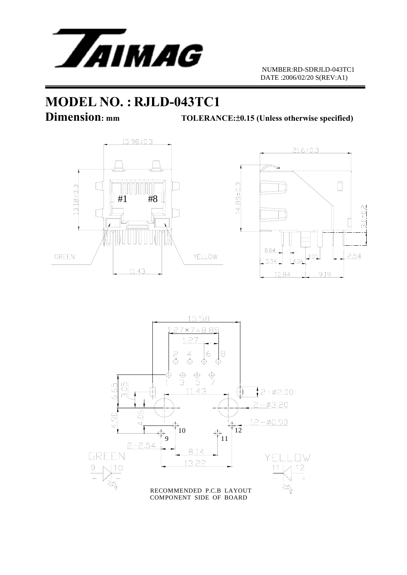

# **MODEL NO. : RJLD-043TC1**

**Dimension:** mm TOLERANCE: $\pm$ 0.15 (Unless otherwise specified)





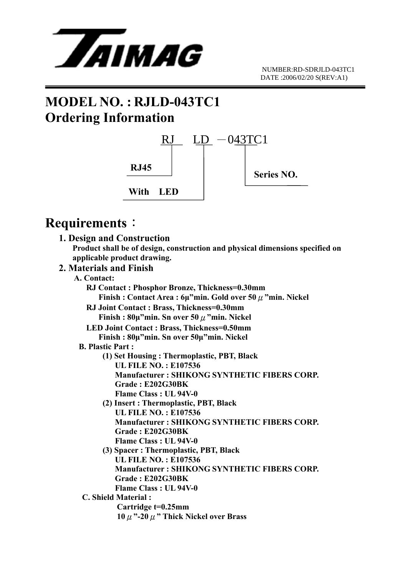

# **MODEL NO. : RJLD-043TC1 Ordering Information**



## **Requirements**:

|             | 1. Design and Construction                                                    |
|-------------|-------------------------------------------------------------------------------|
|             | Product shall be of design, construction and physical dimensions specified on |
|             | applicable product drawing.                                                   |
|             | 2. Materials and Finish                                                       |
| A. Contact: |                                                                               |
|             | RJ Contact: Phosphor Bronze, Thickness=0.30mm                                 |
|             | Finish: Contact Area: $6\mu$ "min. Gold over 50 $\mu$ "min. Nickel            |
|             | RJ Joint Contact: Brass, Thickness=0.30mm                                     |
|             | Finish: $80\mu$ "min. Sn over 50 $\mu$ "min. Nickel                           |
|             |                                                                               |
|             | <b>LED Joint Contact: Brass, Thickness=0.50mm</b>                             |
|             | Finish: 80µ"min. Sn over 50µ"min. Nickel                                      |
|             | <b>B. Plastic Part:</b>                                                       |
|             | (1) Set Housing: Thermoplastic, PBT, Black<br><b>UL FILE NO.: E107536</b>     |
|             |                                                                               |
|             | <b>Manufacturer: SHIKONG SYNTHETIC FIBERS CORP.</b>                           |
|             | Grade: E202G30BK                                                              |
|             | <b>Flame Class: UL 94V-0</b>                                                  |
|             | (2) Insert: Thermoplastic, PBT, Black                                         |
|             | <b>UL FILE NO.: E107536</b>                                                   |
|             | <b>Manufacturer: SHIKONG SYNTHETIC FIBERS CORP.</b>                           |
|             | Grade: E202G30BK                                                              |
|             | <b>Flame Class: UL 94V-0</b>                                                  |
|             | (3) Spacer: Thermoplastic, PBT, Black                                         |
|             | <b>UL FILE NO.: E107536</b>                                                   |
|             | <b>Manufacturer: SHIKONG SYNTHETIC FIBERS CORP.</b>                           |
|             | Grade: E202G30BK                                                              |
|             | Flame Class: UL 94V-0                                                         |
|             | <b>C. Shield Material:</b>                                                    |
|             | Cartridge t=0.25mm                                                            |
|             | $10 \mu$ "-20 $\mu$ " Thick Nickel over Brass                                 |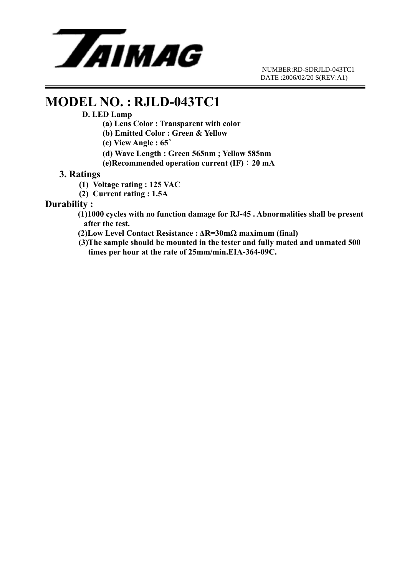

### **MODEL NO. : RJLD-043TC1**

#### **D. LED Lamp**

- **(a) Lens Color : Transparent with color**
- **(b) Emitted Color : Green & Yellow**
- **(c) View Angle : 65**∘
- **(d) Wave Length : Green 565nm ; Yellow 585nm**
- **(e)Recommended operation current (IF)**:**20 mA**

### **3. Ratings**

- **(1) Voltage rating : 125 VAC**
- **(2) Current rating : 1.5A**

#### **Durability :**

- **(1)1000 cycles with no function damage for RJ-45 . Abnormalities shall be present after the test.**
- **(2)Low Level Contact Resistance : ∆R=30mΩ maximum (final)**
- **(3)The sample should be mounted in the tester and fully mated and unmated 500 times per hour at the rate of 25mm/min.EIA-364-09C.**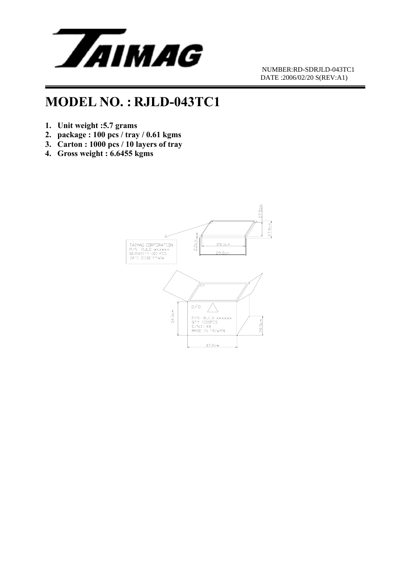

## **MODEL NO. : RJLD-043TC1**

- **1. Unit weight :5.7 grams**
- **2. package : 100 pcs / tray / 0.61 kgms**
- **3. Carton : 1000 pcs / 10 layers of tray**
- **4. Gross weight : 6.6455 kgms**